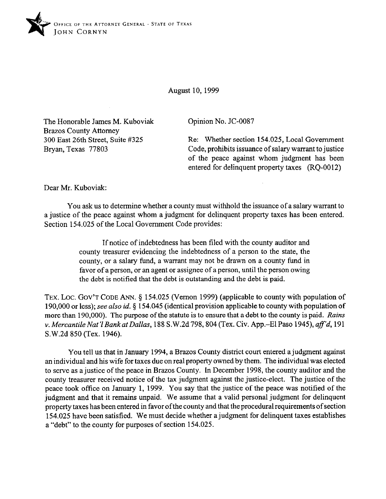

August 10, 1999

The Honorable James M. Kuboviak Brazos County Attorney 300 East 26th Street, Suite #325 Bryan, Texas 77803

Opinion No. JC-0087

Re: Whether section 154.025, Local Government Code, prohibits issuance of salary warrant to justice of the peace against whom judgment has been entered for delinquent property taxes (RQ-0012)

Dear Mr. Kuboviak:

You ask us to determine whether a county must withhold the issuance of a salary warrant to a justice of the peace against whom a judgment for delinquent property taxes has been entered. Section 154.025 of the Local Government Code provides:

> If notice of indebtedness has been tiled with the county auditor and county treasurer evidencing the indebtedness of a person to the state, the county, or a salary fund, a warrant may not be drawn on a county fund in favor of a person, or an agent or assignee of a person, until the person owing the debt is notified that the debt is outstanding and the debt is paid.

TEX. LOC. GOV'T CODE ANN. § 154.025 (Vernon 1999) (applicable to county with population of 190,000 or less); see also *id.* 5 154.045 (identical provision applicable to county with population of more than 190,000). The purpose of the statute is to ensure that a debt to the county is paid. *Rains Y. MercantileNat? BankatDallas,* 188 S.W.2d798,804 (Tex. Civ. App.-ElPaso 1945), *affd,* 191 S.W.2d 850 (Tex. 1946).

You tell us that in January 1994, a Brazos County district court entered a judgment against an individual and his wife for taxes due on real property owned by them. The individual was elected to serve as a justice of the peace in Brazos County. In December 1998, the county auditor and the county treasurer received notice of the tax judgment against the justice-elect. The justice of the peace took office on January 1, 1999. You say that the justice of the peace was notified of the judgment and that it remains unpaid. We assume that a valid personal judgment for delinquent property taxes has been entered in favor ofthe county and that the procedural requirements of section 154.025 have been satisfied. We must decide whether a judgment for delinquent taxes establishes a "debt" to the county for purposes of section 154.025.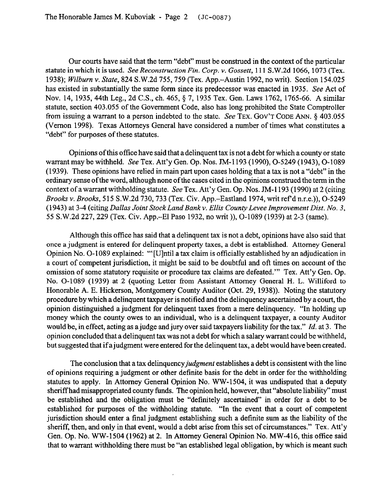Our courts have said that the term "debt" must be construed in the context of the particular statute in which it is *used. See Reconstruction Fin. Corp. Y. Gossett,* 111 S.W.2d 1066, 1073 (Tex. 1938); *Wilburn* v. State, 824 S.W.2d 755,759 (Tex. App.-Austin 1992, no writ). Section 154.025 has existed in substantially the same form since its predecessor was enacted in 1935. See Act of Nov. 14, 1935, 44th Leg., 2d C.S., ch. 465, § 7, 1935 Tex. Gen. Laws 1762, 1765-66. A similar statute, section 403.055 of the Government Code, also has long prohibited the State Comptroller from issuing a warrant to a person indebted to the state. See **TEX. GOV'T CODE ANN. \$ 403.055**  (Vernon 1998). Texas Attorneys General have considered a number of times what constitutes a "debt" for purposes of these statutes.

Opinions of this office have said that a delinquent tax is not a debt for which a county or state warrant may be withheld. See Tex. Att'y Gen. Op. Nos. JM-1193 (1990), O-5249 (1943), O-1089 (1939). These opinions have relied in main part upon cases holding that a tax is not a "debt" in the ordinary sense ofthe word, although none of the cases cited in the opinions construed the term in the context of a warrant withholding statute. See Tex. Att'y Gen. Op. Nos. JM-1193 (1990) at 2 (citing *Brooks* v. *Brooks,* 515 S.W.2d 730,733 (Tex. Civ. App.-Eastland 1974, writ ref dn.r.e.)), O-5249 (1943) at 3-4 (citing *Dallas Joint Stock Land Bank Y. Ellis County Levee Improvement Dist. No. 3,*  55 S.W.2d 227,229 (Tex. Civ. App.-El Paso 1932, no writ )), O-1089 (1939) at 2-3 (same).

Although this offrce has said that a delinquent tax is not a debt, opinions have also said that once a judgment is entered for delinquent property taxes, a debt is established. Attorney General Opinion No. O-1089 explained: "'[Ulntil a tax claim is officially established by an adjudication in a court of competent jurisdiction, it might be said to be doubtful and oft times on account of the omission of some statutory requisite or procedure tax claims are defeated."' Tex. Att'y Gen. Op. No. O-1089 (1939) at 2 (quoting Letter from Assistant Attorney General H. L. Williford to Honorable A. E. Hickerson, Montgomery County Auditor (Oct. 29, 1938)). Noting the statutory procedure by which a delinquent taxpayer is notified and the delinquency ascertained by a court, the opinion distinguished a judgment for delinquent taxes from a mere delinquency. "In holding up money which the county owes to an individual, who is a delinquent taxpayer, a county Auditor would be, in effect, acting as a judge and jury over said taxpayers liability for the tax." *Id.* at 3. The opinion concluded that a delinquent tax was not a debt for which a salary warrant could be withheld, but suggested that if a judgment were entered for the delinquent tax, a debt would have been created.

The conclusion that a tax delinquency judgment establishes a debt is consistent with the line of opinions requiring a judgment or other definite basis for the debt in order for the withholding statutes to apply. In Attorney General Opinion No. WW-1504, it was undisputed that a deputy sheriff had misappropriated county funds. The opinion held, however, that "absolute liability" must be established and the obligation must be "definitely ascertained" in order for a debt to be established for purposes of the withholding statute. "In the event that a court of competent jurisdiction should enter a final judgment establishing such a definite sum as the liability of the sheriff, then, and only in that event, would a debt arise from this set of circumstances." Tex. Att'y Gen. Op. No. WW-1504 (1962) at 2. In Attorney General Opinion No. MW-416, this office said that to warrant withholding there must be "an established legal obligation, by which is meant such

 $\overline{1}$ 

 $\bar{z}$